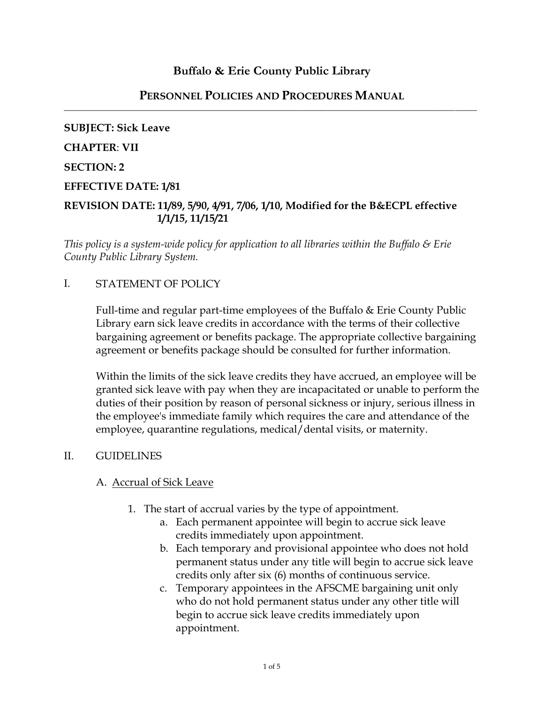## **Buffalo & Erie County Public Library**

#### **PERSONNEL POLICIES AND PROCEDURES MANUAL** \_\_\_\_\_\_\_\_\_\_\_\_\_\_\_\_\_\_\_\_\_\_\_\_\_\_\_\_\_\_\_\_\_\_\_\_\_\_\_\_\_\_\_\_\_\_\_\_\_\_\_\_\_\_\_\_\_\_\_\_\_\_\_\_\_\_\_\_\_\_\_\_\_\_\_\_\_\_\_\_\_\_\_\_\_\_\_\_\_\_\_\_\_

# **SUBJECT: Sick Leave CHAPTER**: **VII SECTION: 2 EFFECTIVE DATE: 1/81 REVISION DATE: 11/89, 5/90, 4/91, 7/06, 1/10, Modified for the B&ECPL effective**

*This policy is a system-wide policy for application to all libraries within the Buffalo & Erie County Public Library System.*

### I. STATEMENT OF POLICY

 **1/1/15, 11/15/21**

Full-time and regular part-time employees of the Buffalo & Erie County Public Library earn sick leave credits in accordance with the terms of their collective bargaining agreement or benefits package. The appropriate collective bargaining agreement or benefits package should be consulted for further information.

Within the limits of the sick leave credits they have accrued, an employee will be granted sick leave with pay when they are incapacitated or unable to perform the duties of their position by reason of personal sickness or injury, serious illness in the employee's immediate family which requires the care and attendance of the employee, quarantine regulations, medical/dental visits, or maternity.

#### II. GUIDELINES

#### A. Accrual of Sick Leave

- 1. The start of accrual varies by the type of appointment.
	- a. Each permanent appointee will begin to accrue sick leave credits immediately upon appointment.
	- b. Each temporary and provisional appointee who does not hold permanent status under any title will begin to accrue sick leave credits only after six (6) months of continuous service.
	- c. Temporary appointees in the AFSCME bargaining unit only who do not hold permanent status under any other title will begin to accrue sick leave credits immediately upon appointment.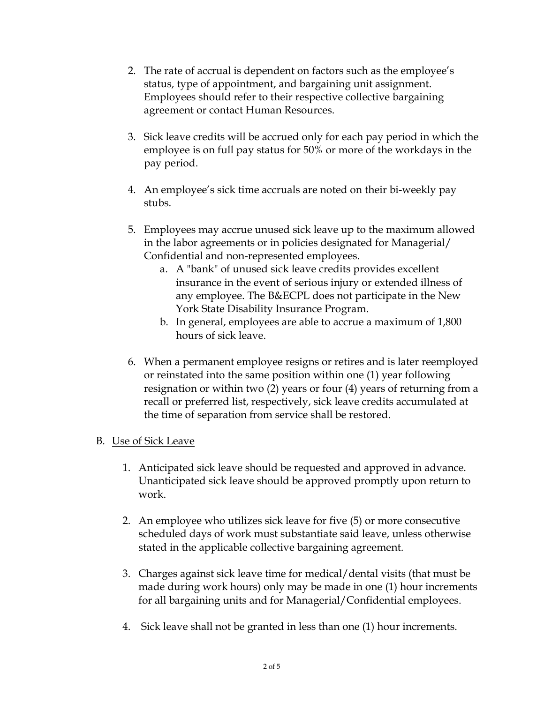- 2. The rate of accrual is dependent on factors such as the employee's status, type of appointment, and bargaining unit assignment. Employees should refer to their respective collective bargaining agreement or contact Human Resources.
- 3. Sick leave credits will be accrued only for each pay period in which the employee is on full pay status for 50% or more of the workdays in the pay period.
- 4. An employee's sick time accruals are noted on their bi-weekly pay stubs.
- 5. Employees may accrue unused sick leave up to the maximum allowed in the labor agreements or in policies designated for Managerial/ Confidential and non-represented employees.
	- a. A "bank" of unused sick leave credits provides excellent insurance in the event of serious injury or extended illness of any employee. The B&ECPL does not participate in the New York State Disability Insurance Program.
	- b. In general, employees are able to accrue a maximum of 1,800 hours of sick leave.
- 6. When a permanent employee resigns or retires and is later reemployed or reinstated into the same position within one (1) year following resignation or within two (2) years or four (4) years of returning from a recall or preferred list, respectively, sick leave credits accumulated at the time of separation from service shall be restored.

## B. Use of Sick Leave

- 1. Anticipated sick leave should be requested and approved in advance. Unanticipated sick leave should be approved promptly upon return to work.
- 2. An employee who utilizes sick leave for five (5) or more consecutive scheduled days of work must substantiate said leave, unless otherwise stated in the applicable collective bargaining agreement.
- 3. Charges against sick leave time for medical/dental visits (that must be made during work hours) only may be made in one (1) hour increments for all bargaining units and for Managerial/Confidential employees.
- 4. Sick leave shall not be granted in less than one (1) hour increments.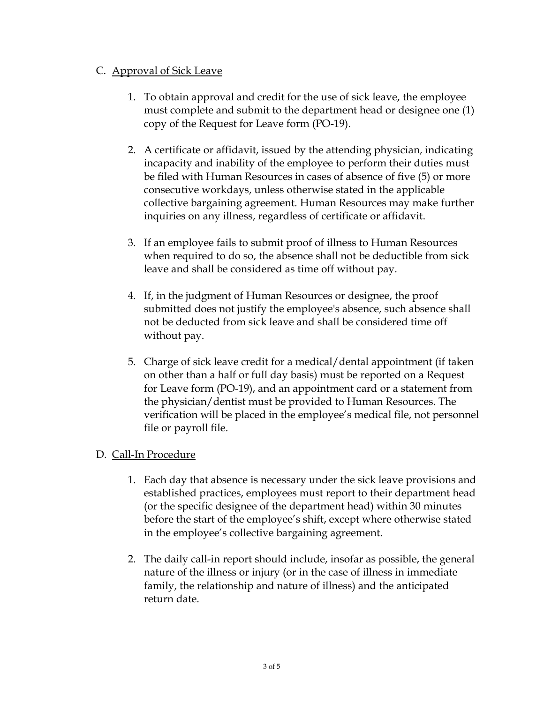## C. Approval of Sick Leave

- 1. To obtain approval and credit for the use of sick leave, the employee must complete and submit to the department head or designee one (1) copy of the Request for Leave form (PO-19).
- 2. A certificate or affidavit, issued by the attending physician, indicating incapacity and inability of the employee to perform their duties must be filed with Human Resources in cases of absence of five (5) or more consecutive workdays, unless otherwise stated in the applicable collective bargaining agreement. Human Resources may make further inquiries on any illness, regardless of certificate or affidavit.
- 3. If an employee fails to submit proof of illness to Human Resources when required to do so, the absence shall not be deductible from sick leave and shall be considered as time off without pay.
- 4. If, in the judgment of Human Resources or designee, the proof submitted does not justify the employee's absence, such absence shall not be deducted from sick leave and shall be considered time off without pay.
- 5. Charge of sick leave credit for a medical/dental appointment (if taken on other than a half or full day basis) must be reported on a Request for Leave form (PO-19), and an appointment card or a statement from the physician/dentist must be provided to Human Resources. The verification will be placed in the employee's medical file, not personnel file or payroll file.

## D. Call-In Procedure

- 1. Each day that absence is necessary under the sick leave provisions and established practices, employees must report to their department head (or the specific designee of the department head) within 30 minutes before the start of the employee's shift, except where otherwise stated in the employee's collective bargaining agreement.
- 2. The daily call-in report should include, insofar as possible, the general nature of the illness or injury (or in the case of illness in immediate family, the relationship and nature of illness) and the anticipated return date.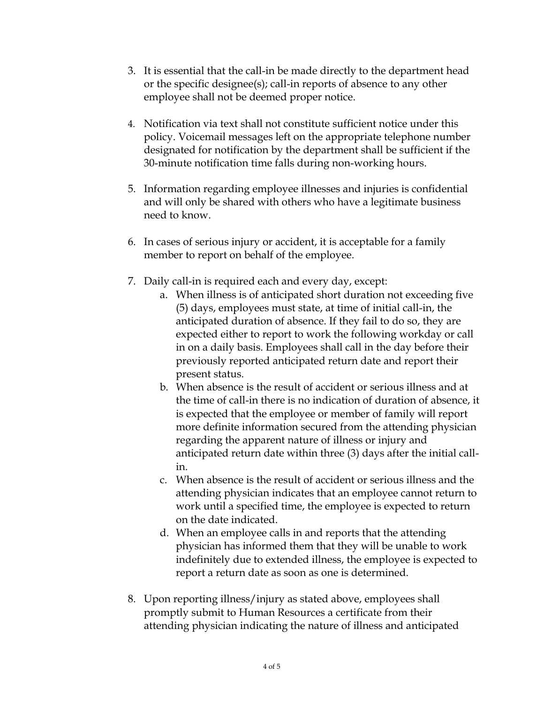- 3. It is essential that the call-in be made directly to the department head or the specific designee(s); call-in reports of absence to any other employee shall not be deemed proper notice.
- 4. Notification via text shall not constitute sufficient notice under this policy. Voicemail messages left on the appropriate telephone number designated for notification by the department shall be sufficient if the 30-minute notification time falls during non-working hours.
- 5. Information regarding employee illnesses and injuries is confidential and will only be shared with others who have a legitimate business need to know.
- 6. In cases of serious injury or accident, it is acceptable for a family member to report on behalf of the employee.
- 7. Daily call-in is required each and every day, except:
	- a. When illness is of anticipated short duration not exceeding five (5) days, employees must state, at time of initial call-in, the anticipated duration of absence. If they fail to do so, they are expected either to report to work the following workday or call in on a daily basis. Employees shall call in the day before their previously reported anticipated return date and report their present status.
	- b. When absence is the result of accident or serious illness and at the time of call-in there is no indication of duration of absence, it is expected that the employee or member of family will report more definite information secured from the attending physician regarding the apparent nature of illness or injury and anticipated return date within three (3) days after the initial callin.
	- c. When absence is the result of accident or serious illness and the attending physician indicates that an employee cannot return to work until a specified time, the employee is expected to return on the date indicated.
	- d. When an employee calls in and reports that the attending physician has informed them that they will be unable to work indefinitely due to extended illness, the employee is expected to report a return date as soon as one is determined.
- 8. Upon reporting illness/injury as stated above, employees shall promptly submit to Human Resources a certificate from their attending physician indicating the nature of illness and anticipated